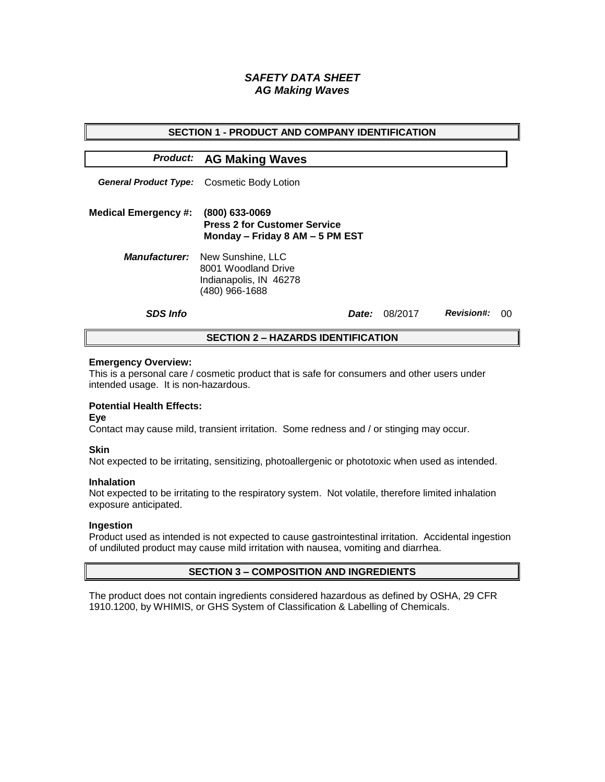# *SAFETY DATA SHEET AG Making Waves*

| <b>SECTION 1 - PRODUCT AND COMPANY IDENTIFICATION</b> |                                                                                                           |  |         |                   |    |  |
|-------------------------------------------------------|-----------------------------------------------------------------------------------------------------------|--|---------|-------------------|----|--|
|                                                       | <b>Product: AG Making Waves</b>                                                                           |  |         |                   |    |  |
|                                                       | <b>General Product Type:</b> Cosmetic Body Lotion                                                         |  |         |                   |    |  |
| <b>Medical Emergency #:</b>                           | (800) 633-0069<br><b>Press 2 for Customer Service</b><br>Monday - Friday 8 AM - 5 PM EST                  |  |         |                   |    |  |
|                                                       | <b>Manufacturer:</b> New Sunshine, LLC<br>8001 Woodland Drive<br>Indianapolis, IN 46278<br>(480) 966-1688 |  |         |                   |    |  |
| <b>SDS Info</b>                                       | <i>Date:</i>                                                                                              |  | 08/2017 | <b>Revision#:</b> | ററ |  |
| <b>SECTION 2 – HAZARDS IDENTIFICATION</b>             |                                                                                                           |  |         |                   |    |  |

#### **Emergency Overview:**

This is a personal care / cosmetic product that is safe for consumers and other users under intended usage. It is non-hazardous.

# **Potential Health Effects:**

**Eye**

Contact may cause mild, transient irritation. Some redness and / or stinging may occur.

### **Skin**

Not expected to be irritating, sensitizing, photoallergenic or phototoxic when used as intended.

#### **Inhalation**

Not expected to be irritating to the respiratory system. Not volatile, therefore limited inhalation exposure anticipated.

### **Ingestion**

Product used as intended is not expected to cause gastrointestinal irritation. Accidental ingestion of undiluted product may cause mild irritation with nausea, vomiting and diarrhea.

### **SECTION 3 – COMPOSITION AND INGREDIENTS**

The product does not contain ingredients considered hazardous as defined by OSHA, 29 CFR 1910.1200, by WHIMIS, or GHS System of Classification & Labelling of Chemicals.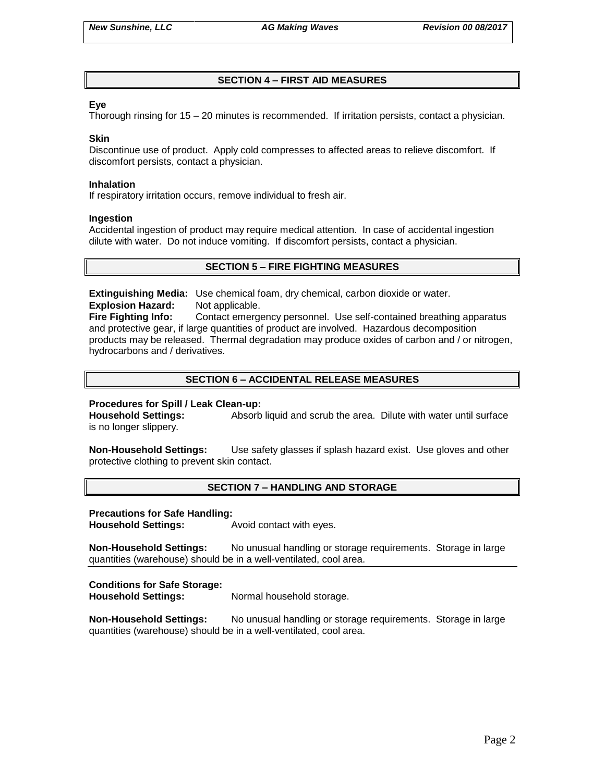# **SECTION 4 – FIRST AID MEASURES**

### **Eye**

Thorough rinsing for 15 – 20 minutes is recommended. If irritation persists, contact a physician.

#### **Skin**

Discontinue use of product. Apply cold compresses to affected areas to relieve discomfort. If discomfort persists, contact a physician.

#### **Inhalation**

If respiratory irritation occurs, remove individual to fresh air.

#### **Ingestion**

Accidental ingestion of product may require medical attention. In case of accidental ingestion dilute with water. Do not induce vomiting. If discomfort persists, contact a physician.

# **SECTION 5 – FIRE FIGHTING MEASURES**

**Extinguishing Media:** Use chemical foam, dry chemical, carbon dioxide or water. **Explosion Hazard:** Not applicable.

**Fire Fighting Info:** Contact emergency personnel. Use self-contained breathing apparatus and protective gear, if large quantities of product are involved. Hazardous decomposition products may be released. Thermal degradation may produce oxides of carbon and / or nitrogen, hydrocarbons and / derivatives.

# **SECTION 6 – ACCIDENTAL RELEASE MEASURES**

### **Procedures for Spill / Leak Clean-up:**

**Household Settings:** Absorb liquid and scrub the area. Dilute with water until surface is no longer slippery.

**Non-Household Settings:** Use safety glasses if splash hazard exist. Use gloves and other protective clothing to prevent skin contact.

### **SECTION 7 – HANDLING AND STORAGE**

### **Precautions for Safe Handling:**

**Household Settings:** Avoid contact with eyes.

**Non-Household Settings:** No unusual handling or storage requirements. Storage in large quantities (warehouse) should be in a well-ventilated, cool area.

### **Conditions for Safe Storage:**

**Household Settings:** Normal household storage.

**Non-Household Settings:** No unusual handling or storage requirements. Storage in large quantities (warehouse) should be in a well-ventilated, cool area.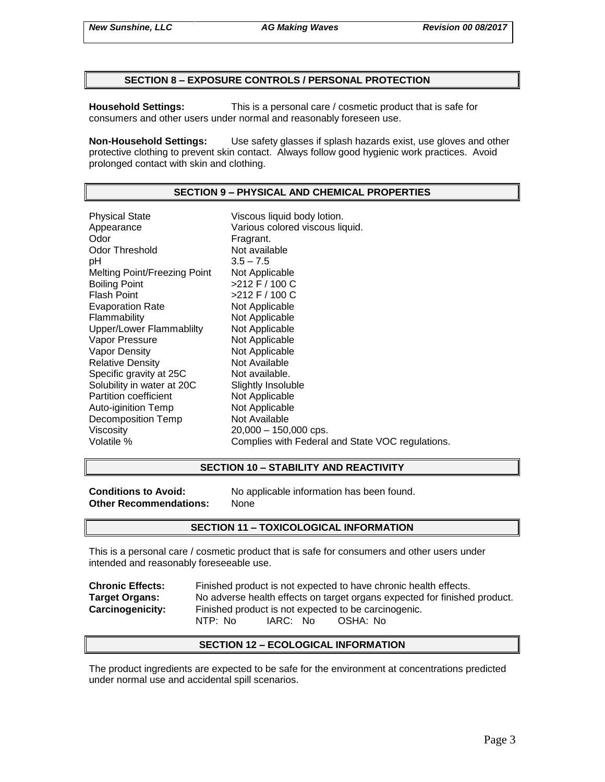### **SECTION 8 – EXPOSURE CONTROLS / PERSONAL PROTECTION**

**Household Settings:** This is a personal care / cosmetic product that is safe for consumers and other users under normal and reasonably foreseen use.

**Non-Household Settings:** Use safety glasses if splash hazards exist, use gloves and other protective clothing to prevent skin contact. Always follow good hygienic work practices. Avoid prolonged contact with skin and clothing.

### **SECTION 9 – PHYSICAL AND CHEMICAL PROPERTIES**

Physical State Viscous liquid body lotion. Appearance **Various colored viscous liquid.**<br>
Odor Communication Colore Fragrant. Odor Threshold Not available pH 3.5 – 7.5 Melting Point/Freezing Point Not Applicable Boiling Point >212 F / 100 C Flash Point  $>212$  F / 100 C Evaporation Rate Not Applicable Flammability Not Applicable Upper/Lower Flammablilty Not Applicable Vapor Pressure Not Applicable Vapor Density Not Applicable Relative Density Not Available Specific gravity at 25C Not available. Solubility in water at 20C Slightly Insoluble Partition coefficient Not Applicable Auto-iginition Temp Not Applicable Decomposition Temp Not Available Viscosity 20,000 – 150,000 cps. Volatile % Complies with Federal and State VOC regulations.

### **SECTION 10 – STABILITY AND REACTIVITY**

**Other Recommendations:** None

**Conditions to Avoid:** No applicable information has been found.

### **SECTION 11 – TOXICOLOGICAL INFORMATION**

This is a personal care / cosmetic product that is safe for consumers and other users under intended and reasonably foreseeable use.

**Chronic Effects:** Finished product is not expected to have chronic health effects. **Target Organs:** No adverse health effects on target organs expected for finished product. **Carcinogenicity:** Finished product is not expected to be carcinogenic. NTP: No IARC: No OSHA: No

### **SECTION 12 – ECOLOGICAL INFORMATION**

The product ingredients are expected to be safe for the environment at concentrations predicted under normal use and accidental spill scenarios.